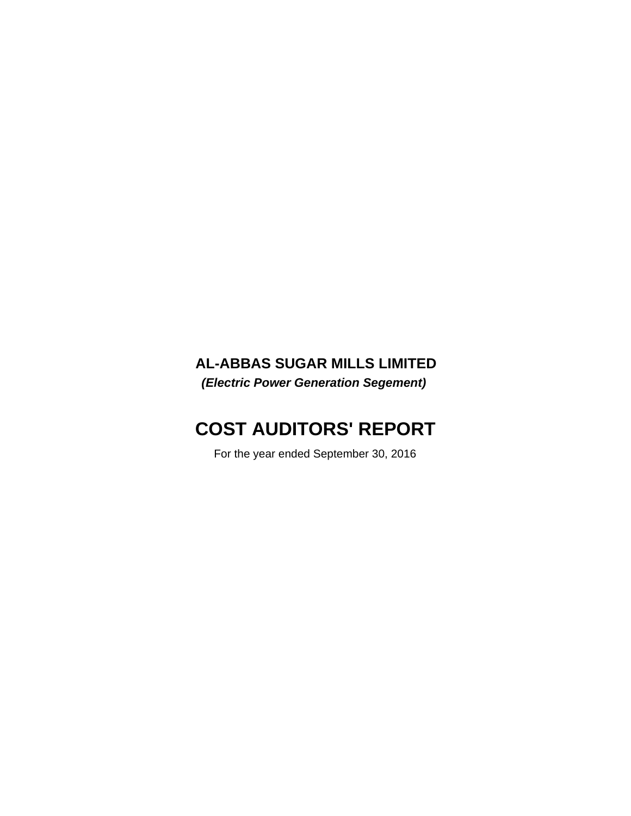## **AL-ABBAS SUGAR MILLS LIMITED**

*(Electric Power Generation Segement)*

## **COST AUDITORS' REPORT**

For the year ended September 30, 2016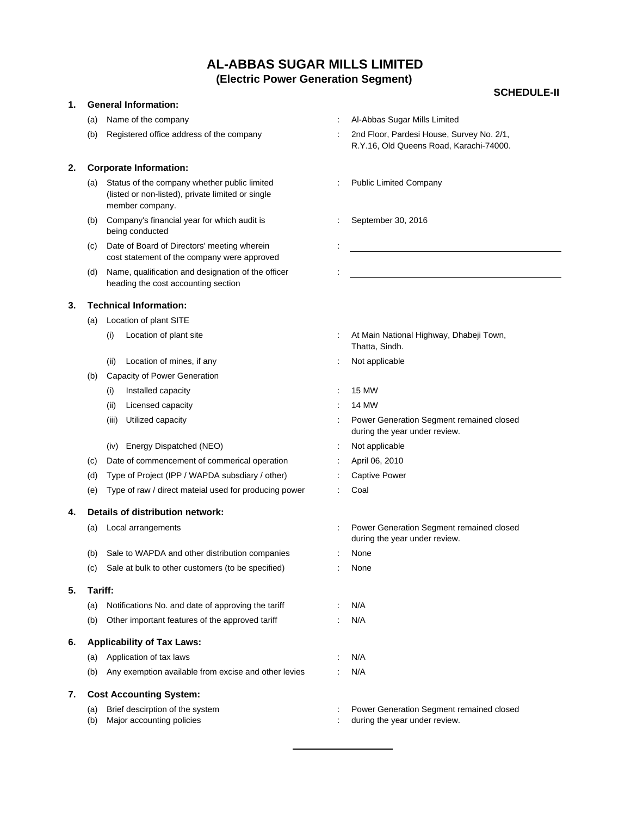#### **SCHEDULE-II**

#### **1. General Information:**

- 
- 

#### **2. Corporate Information:**

- (a) Status of the company whether public limited **incompany** : Public Limited Company (listed or non-listed), private limited or single member company.
- (b) Company's financial year for which audit is : September 30, 2016 being conducted
- (c) Date of Board of Directors' meeting wherein cost statement of the company were approved
- (d) Name, qualification and designation of the officer : heading the cost accounting section

#### **3. Technical Information:**

- (a) Location of plant SITE
	-
	- (ii) Location of mines, if any the same state of the state of the Not applicable
- (b) Capacity of Power Generation
	- (i) Installed capacity : 15 MW
	- (ii) Licensed capacity : 14 MW
	-
	- (iv) Energy Dispatched (NEO) : Not applicable
- (c) Date of commencement of commerical operation : April 06, 2010
- (d) Type of Project (IPP / WAPDA subsdiary / other) : Captive Power
- (e) Type of raw / direct mateial used for producing power : Coal

#### **4. Details of distribution network:**

- 
- (b) Sale to WAPDA and other distribution companies : None
- (c) Sale at bulk to other customers (to be specified) : None

#### **5. Tariff:**

- (a) Notifications No. and date of approving the tariff : N/A
- (b) Other important features of the approved tariff : N/A

#### **6. Applicability of Tax Laws:**

- (a) Application of tax laws : N/A
- (b) Any exemption available from excise and other levies : N/A

#### **7. Cost Accounting System:**

- 
- (b) Major accounting policies in the second of the year under review.
- (a) Name of the company the company the state of the company of the state of the company of the state of the state of the state of the state of the state of the state of the state of the state of the state of the state of
- (b) Registered office address of the company : 2nd Floor, Pardesi House, Survey No. 2/1, R.Y.16, Old Queens Road, Karachi-74000.
	-
	-

- (i) Location of plant site  $\qquad \qquad$ : At Main National Highway, Dhabeji Town, Thatta, Sindh.
	-
	-
	-
- (iii) Utilized capacity **in the capacity of the Contract Contract Contract Contract Contract Contract Contract Contract Contract Contract Contract Contract Contract Contract Contract Contract Contract Contract Contract Con** during the year under review.
	-
	-
	-
	-
- (a) Local arrangements : Power Generation Segment remained closed during the year under review.
	-
	-
	-
	-
	-
	-
- (a) Brief descirption of the system  $\cdot$  Power Generation Segment remained closed
	-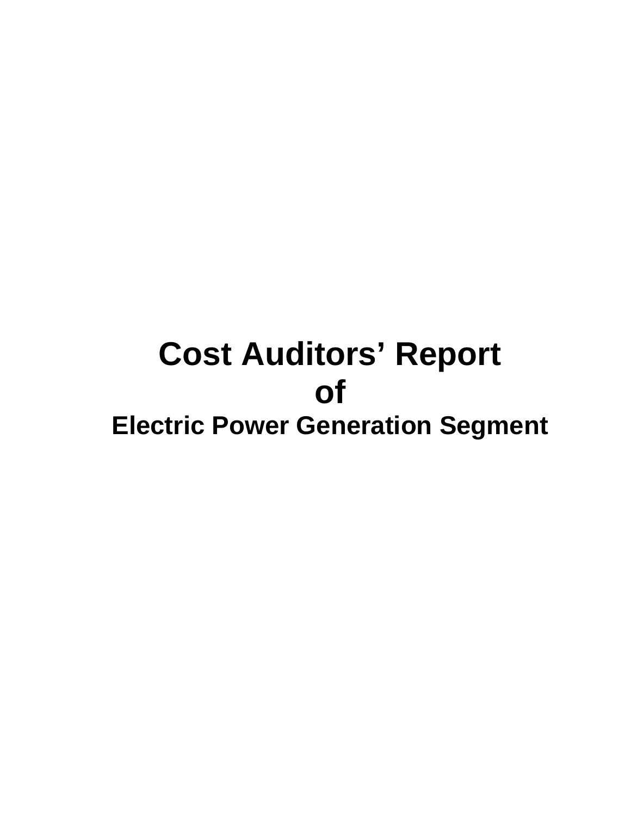# **Cost Auditors' Report of Electric Power Generation Segment**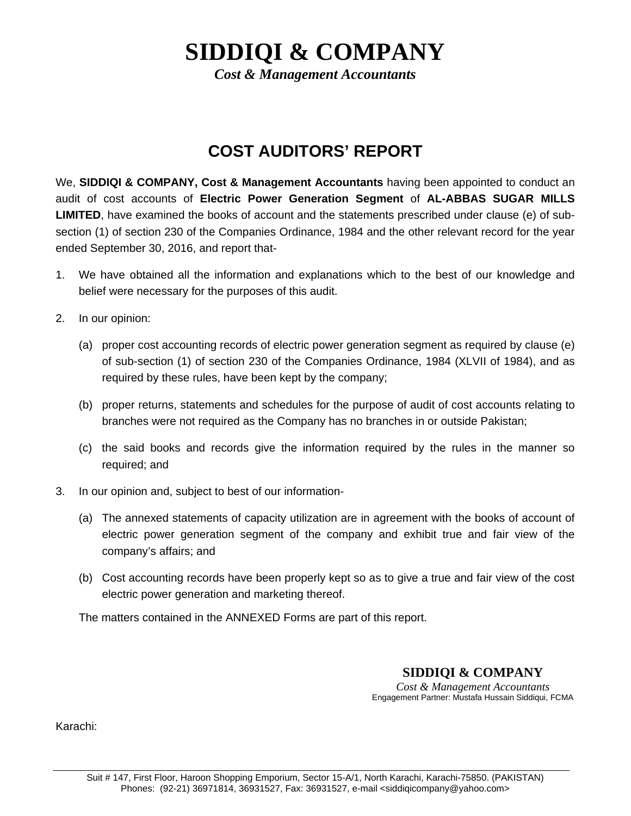## **SIDDIQI & COMPANY**

*Cost & Management Accountants*

## **COST AUDITORS' REPORT**

We, **SIDDIQI & COMPANY, Cost & Management Accountants** having been appointed to conduct an audit of cost accounts of **Electric Power Generation Segment** of **AL-ABBAS SUGAR MILLS LIMITED**, have examined the books of account and the statements prescribed under clause (e) of subsection (1) of section 230 of the Companies Ordinance, 1984 and the other relevant record for the year ended September 30, 2016, and report that-

- 1. We have obtained all the information and explanations which to the best of our knowledge and belief were necessary for the purposes of this audit.
- 2. In our opinion:
	- (a) proper cost accounting records of electric power generation segment as required by clause (e) of sub-section (1) of section 230 of the Companies Ordinance, 1984 (XLVII of 1984), and as required by these rules, have been kept by the company;
	- (b) proper returns, statements and schedules for the purpose of audit of cost accounts relating to branches were not required as the Company has no branches in or outside Pakistan;
	- (c) the said books and records give the information required by the rules in the manner so required; and
- 3. In our opinion and, subject to best of our information-
	- (a) The annexed statements of capacity utilization are in agreement with the books of account of electric power generation segment of the company and exhibit true and fair view of the company's affairs; and
	- (b) Cost accounting records have been properly kept so as to give a true and fair view of the cost electric power generation and marketing thereof.

The matters contained in the ANNEXED Forms are part of this report.

## **SIDDIQI & COMPANY**

*Cost & Management Accountants*  Engagement Partner: Mustafa Hussain Siddiqui, FCMA

Karachi: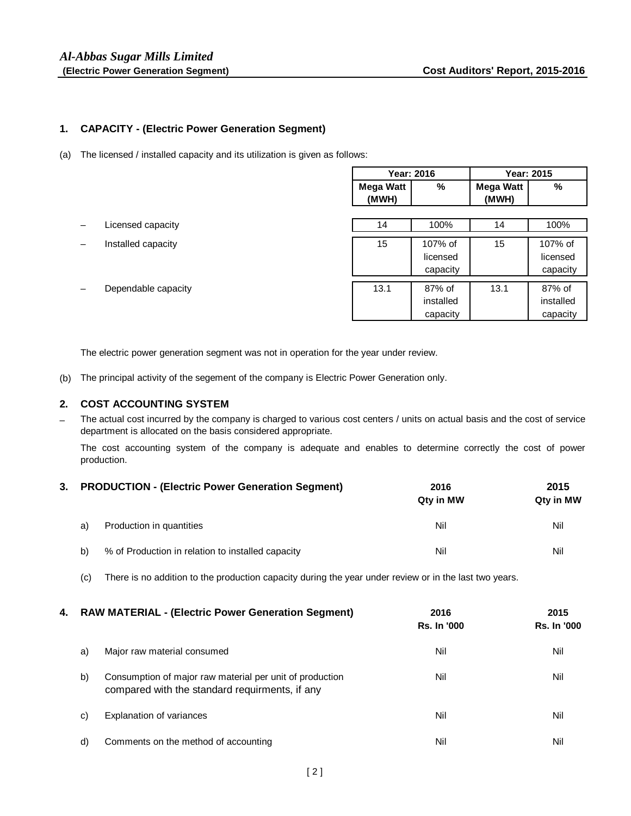#### **1. CAPACITY - (Electric Power Generation Segment)**

(a) The licensed / installed capacity and its utilization is given as follows:

|                     | <b>Year: 2016</b> |           |           | Year: 2015 |
|---------------------|-------------------|-----------|-----------|------------|
|                     | <b>Mega Watt</b>  | %         | Mega Watt | %          |
|                     | (MWH)             |           | (MWH)     |            |
|                     |                   |           |           |            |
| Licensed capacity   | 14                | 100%      | 14        | 100%       |
| Installed capacity  | 15                | 107% of   | 15        | 107% of    |
|                     |                   | licensed  |           | licensed   |
|                     |                   | capacity  |           | capacity   |
| Dependable capacity | 13.1              | 87% of    | 13.1      | 87% of     |
|                     |                   | installed |           | installed  |
|                     |                   | capacity  |           | capacity   |

The electric power generation segment was not in operation for the year under review.

(b) The principal activity of the segement of the company is Electric Power Generation only.

#### **2. COST ACCOUNTING SYSTEM**

– The actual cost incurred by the company is charged to various cost centers / units on actual basis and the cost of service department is allocated on the basis considered appropriate.

The cost accounting system of the company is adequate and enables to determine correctly the cost of power production.

|    | 3. PRODUCTION - (Electric Power Generation Segment) | 2016<br>Qty in MW | 2015<br>Qty in MW |  |
|----|-----------------------------------------------------|-------------------|-------------------|--|
| a) | Production in quantities                            | Nil               | Nil               |  |
| b) | % of Production in relation to installed capacity   | Nil               | Nil               |  |

(c) There is no addition to the production capacity during the year under review or in the last two years.

| 4. | <b>RAW MATERIAL - (Electric Power Generation Segment)</b> |                                                                                                            | 2016<br><b>Rs. In '000</b> | 2015<br><b>Rs. In '000</b> |  |
|----|-----------------------------------------------------------|------------------------------------------------------------------------------------------------------------|----------------------------|----------------------------|--|
|    | a)                                                        | Major raw material consumed                                                                                | Nil                        | Nil                        |  |
|    | b)                                                        | Consumption of major raw material per unit of production<br>compared with the standard requirments, if any | Nil                        | Nil                        |  |
|    | C)                                                        | Explanation of variances                                                                                   | Nil                        | Nil                        |  |
|    | d)                                                        | Comments on the method of accounting                                                                       | Nil                        | Nil                        |  |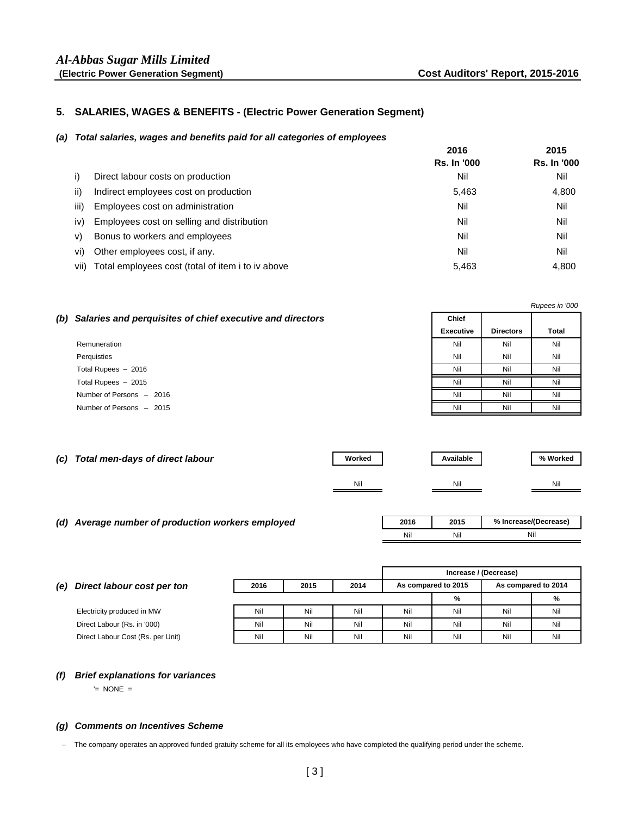#### **5. SALARIES, WAGES & BENEFITS - (Electric Power Generation Segment)**

#### *(a) Total salaries, wages and benefits paid for all categories of employees*

|      |                                                   | 2016               | 2015               |
|------|---------------------------------------------------|--------------------|--------------------|
|      |                                                   | <b>Rs. In '000</b> | <b>Rs. In '000</b> |
| I)   | Direct labour costs on production                 | Nil                | Nil                |
| ii)  | Indirect employees cost on production             | 5,463              | 4,800              |
| iii) | Employees cost on administration                  | Nil                | Nil                |
| iv)  | Employees cost on selling and distribution        | Nil                | Nil                |
| V)   | Bonus to workers and employees                    | Nil                | Nil                |
| vi)  | Other employees cost, if any.                     | Nil                | Nil                |
| vii) | Total employees cost (total of item i to iv above | 5,463              | 4,800              |

| Rupees in '000                                                |           |                  |              |  |
|---------------------------------------------------------------|-----------|------------------|--------------|--|
| (b) Salaries and perquisites of chief executive and directors | Chief     |                  |              |  |
|                                                               | Executive | <b>Directors</b> | <b>Total</b> |  |
| Remuneration                                                  | Nil       | Nil              | Nil          |  |
| Perquisties                                                   | Nil       | Nil              | Nil          |  |
| Total Rupees - 2016                                           | Nil       | Nil              | Nil          |  |
| Total Rupees $-2015$                                          | Nil       | Nil              | Nil          |  |
| Number of Persons - 2016                                      | Nil       | Nil              | Nil          |  |
| Number of Persons - 2015                                      | Nil       | Nil              | Nil          |  |

| (c) Total men-days of direct labour | Worked | Available | % Worked |
|-------------------------------------|--------|-----------|----------|
|                                     |        |           |          |
|                                     | Nil    | Nil       | Nil      |
|                                     |        |           |          |

## *(d) Average number of production workers employed* **2016 2015**

| 2016 | 2015 | % Increase/(Decrease) |
|------|------|-----------------------|
| Ali' | \lil |                       |

|                                   |      |      |      | Increase / (Decrease) |     |                     |     |
|-----------------------------------|------|------|------|-----------------------|-----|---------------------|-----|
| Direct labour cost per ton<br>(e) | 2016 | 2015 | 2014 | As compared to 2015   |     | As compared to 2014 |     |
|                                   |      |      |      |                       | %   |                     | %   |
| Electricity produced in MW        | Nil  | Nil  | Nil  | Nil                   | Nil | Nil                 | Nil |
| Direct Labour (Rs. in '000)       | Nil  | Nil  | Nil  | Nil                   | Nil | Nil                 | Nil |
| Direct Labour Cost (Rs. per Unit) | Nil  | Nil  | Nil  | Nil                   | Nil | Nil                 | Nil |
|                                   |      |      |      |                       |     |                     |     |

#### *(f) Brief explanations for variances*

'= NONE =

#### *(g) Comments on Incentives Scheme*

– The company operates an approved funded gratuity scheme for all its employees who have completed the qualifying period under the scheme.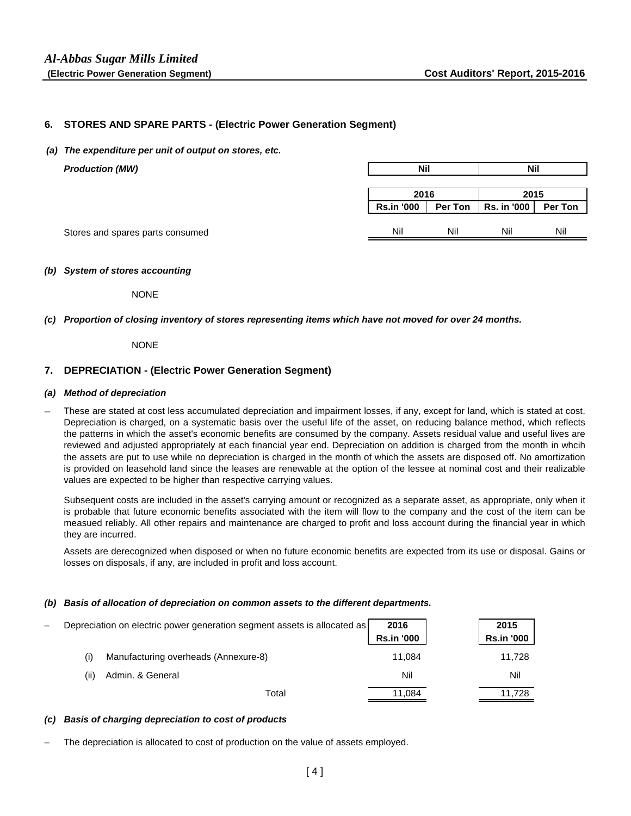#### **6. STORES AND SPARE PARTS - (Electric Power Generation Segment)**

*(a) The expenditure per unit of output on stores, etc.*

| <b>Production (MW)</b>           | <b>Nil</b>        |     | <b>Nil</b>            |         |
|----------------------------------|-------------------|-----|-----------------------|---------|
|                                  |                   |     |                       |         |
|                                  | 2016              |     | 2015                  |         |
|                                  | <b>Rs.in '000</b> |     | Per Ton   Rs. in '000 | Per Ton |
|                                  |                   |     |                       |         |
| Stores and spares parts consumed | Nil               | Nil | Nil                   | Nil     |

#### *(b) System of stores accounting*

**NONE** 

*(c) Proportion of closing inventory of stores representing items which have not moved for over 24 months.*

NONE

#### **7. DEPRECIATION - (Electric Power Generation Segment)**

#### *(a) Method of depreciation*

– These are stated at cost less accumulated depreciation and impairment losses, if any, except for land, which is stated at cost. Depreciation is charged, on a systematic basis over the useful life of the asset, on reducing balance method, which reflects the patterns in which the asset's economic benefits are consumed by the company. Assets residual value and useful lives are reviewed and adjusted appropriately at each financial year end. Depreciation on addition is charged from the month in whcih the assets are put to use while no depreciation is charged in the month of which the assets are disposed off. No amortization is provided on leasehold land since the leases are renewable at the option of the lessee at nominal cost and their realizable values are expected to be higher than respective carrying values.

Subsequent costs are included in the asset's carrying amount or recognized as a separate asset, as appropriate, only when it is probable that future economic benefits associated with the item will flow to the company and the cost of the item can be measued reliably. All other repairs and maintenance are charged to profit and loss account during the financial year in which they are incurred.

Assets are derecognized when disposed or when no future economic benefits are expected from its use or disposal. Gains or losses on disposals, if any, are included in profit and loss account.

#### *(b) Basis of allocation of depreciation on common assets to the different departments.*

|      | Depreciation on electric power generation segment assets is allocated as | 2016<br><b>Rs.in '000</b> | 2015<br><b>Rs.in '000</b> |
|------|--------------------------------------------------------------------------|---------------------------|---------------------------|
|      | Manufacturing overheads (Annexure-8)                                     | 11.084                    | 11,728                    |
| (ii) | Admin. & General                                                         | Nil                       | Nil                       |
|      | Total                                                                    | 11,084                    | 11,728                    |

#### *(c) Basis of charging depreciation to cost of products*

The depreciation is allocated to cost of production on the value of assets employed.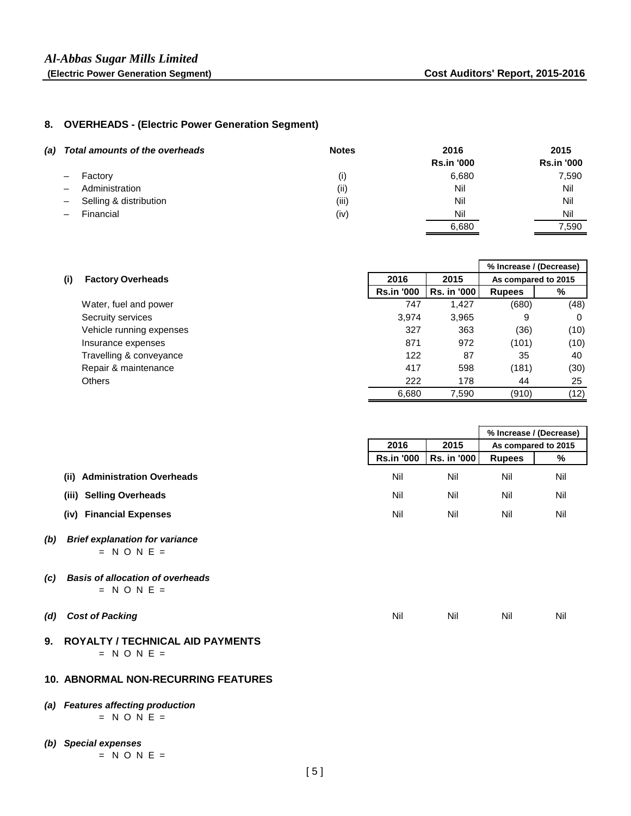#### **8. OVERHEADS - (Electric Power Generation Segment)**

| (a) Total amounts of the overheads  | <b>Notes</b> | 2016              | 2015              |
|-------------------------------------|--------------|-------------------|-------------------|
|                                     |              | <b>Rs.in '000</b> | <b>Rs.in '000</b> |
| - Factory                           | (i)          | 6,680             | 7,590             |
| Administration<br>$\qquad \qquad -$ | (i)          | Nil               | Nil               |
| - Selling & distribution            | (iii)        | Nil               | Nil               |
| Financial                           | (iv)         | Nil               | Nil               |
|                                     |              | 6,680             | 7.590             |

|     |                          |                   | % Increase / (Decrease) |                     |      |
|-----|--------------------------|-------------------|-------------------------|---------------------|------|
| (i) | <b>Factory Overheads</b> | 2016              | 2015                    | As compared to 2015 |      |
|     |                          | <b>Rs.in '000</b> | Rs. in '000             | <b>Rupees</b>       | %    |
|     | Water, fuel and power    | 747               | 1,427                   | (680)               | (48) |
|     | Secruity services        | 3.974             | 3,965                   | 9                   | 0    |
|     | Vehicle running expenses | 327               | 363                     | (36)                | (10) |
|     | Insurance expenses       | 871               | 972                     | (101)               | (10) |
|     | Travelling & conveyance  | 122               | 87                      | 35                  | 40   |
|     | Repair & maintenance     | 417               | 598                     | (181)               | (30) |
|     | <b>Others</b>            | 222               | 178                     | 44                  | 25   |
|     |                          | 6,680             | 7.590                   | (910)               | (12) |

|                                         |                   |                    | % Increase / (Decrease) |     |
|-----------------------------------------|-------------------|--------------------|-------------------------|-----|
|                                         | 2016              | 2015               | As compared to 2015     |     |
|                                         | <b>Rs.in '000</b> | <b>Rs. in '000</b> | <b>Rupees</b>           | %   |
| <b>Administration Overheads</b><br>(ii) | Nil               | Nil                | Nil                     | Nil |
| <b>Selling Overheads</b><br>(iii)       | Nil               | Nil                | Nil                     | Nil |
| <b>Financial Expenses</b><br>(iv)       | Nil               | Nil                | Nil                     | Nil |

#### *(b) Brief explanation for variance*  $=$  N O N E  $=$

- *(c) Basis of allocation of overheads*  $=$  N O N E  $=$
- *(d) Cost of Packing* Nil Nil Nil Nil

### **9. ROYALTY / TECHNICAL AID PAYMENTS**  $= N ON E =$

#### **10. ABNORMAL NON-RECURRING FEATURES**

#### *(a) Features affecting production*  $=$  N O N E  $=$

*(b) Special expenses*  $=$  N O N E  $=$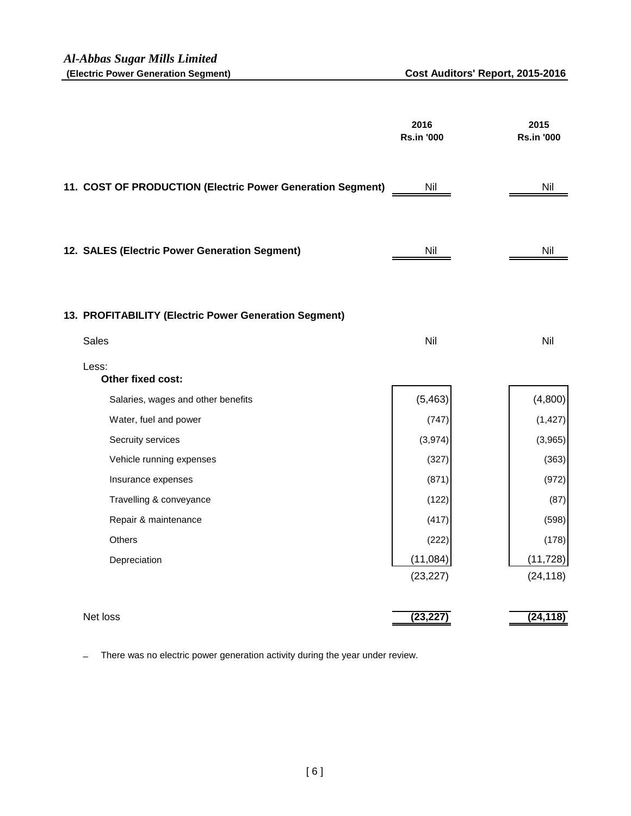|                                                            | 2016<br><b>Rs.in '000</b> | 2015<br><b>Rs.in '000</b> |
|------------------------------------------------------------|---------------------------|---------------------------|
| 11. COST OF PRODUCTION (Electric Power Generation Segment) | Nil                       | Nil                       |
| 12. SALES (Electric Power Generation Segment)              | Nil                       | Nil                       |
| 13. PROFITABILITY (Electric Power Generation Segment)      |                           |                           |
| <b>Sales</b>                                               | Nil                       | Nil                       |
| Less:<br>Other fixed cost:                                 |                           |                           |
| Salaries, wages and other benefits                         | (5, 463)                  | (4,800)                   |
| Water, fuel and power                                      | (747)                     | (1, 427)                  |
| Secruity services                                          | (3,974)                   | (3,965)                   |
| Vehicle running expenses                                   | (327)                     | (363)                     |
| Insurance expenses                                         | (871)                     | (972)                     |
| Travelling & conveyance                                    | (122)                     | (87)                      |
| Repair & maintenance                                       | (417)                     | (598)                     |
| Others                                                     | (222)                     | (178)                     |
| Depreciation                                               | (11,084)                  | (11, 728)                 |
|                                                            | (23, 227)                 | (24, 118)                 |
| Net loss                                                   | (23, 227)                 | (24, 118)                 |
|                                                            |                           |                           |

– There was no electric power generation activity during the year under review.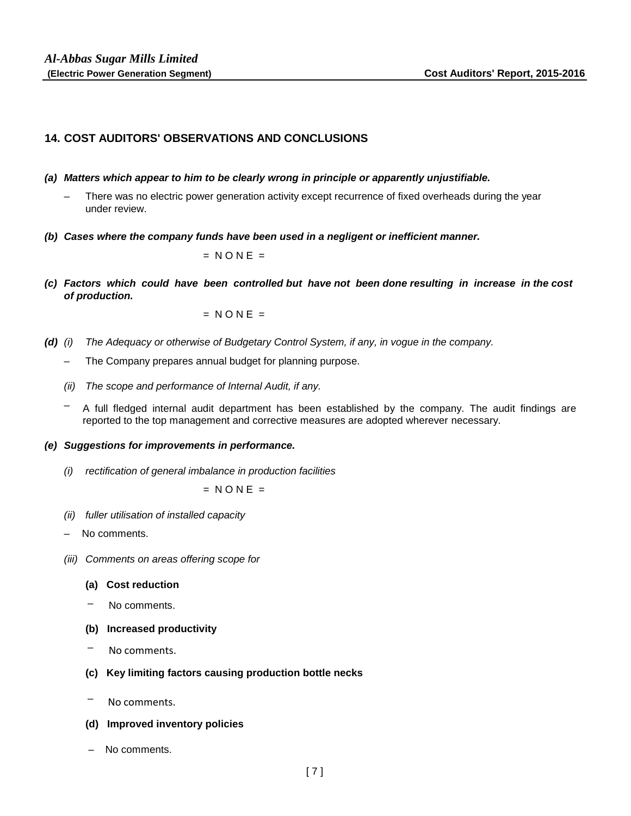## **14. COST AUDITORS' OBSERVATIONS AND CONCLUSIONS**

- *(a) Matters which appear to him to be clearly wrong in principle or apparently unjustifiable.*
	- There was no electric power generation activity except recurrence of fixed overheads during the year under review.
- *(b) Cases where the company funds have been used in a negligent or inefficient manner.*

 $= N ONE =$ 

*(c) Factors which could have been controlled but have not been done resulting in increase in the cost of production.*

 $= N ONE =$ 

- *(d) (i) The Adequacy or otherwise of Budgetary Control System, if any, in vogue in the company.*
	- The Company prepares annual budget for planning purpose.
	- *(ii) The scope and performance of Internal Audit, if any.*
	- A full fledged internal audit department has been established by the company. The audit findings are reported to the top management and corrective measures are adopted wherever necessary.

#### *(e) Suggestions for improvements in performance.*

*(i) rectification of general imbalance in production facilities*

 $= N ONE =$ 

- *(ii) fuller utilisation of installed capacity*
- No comments.
- *(iii) Comments on areas offering scope for*
	- **(a) Cost reduction**
	- No comments.
	- **(b) Increased productivity**
	- $\overline{\phantom{0}}$ No comments.
	- **(c) Key limiting factors causing production bottle necks**
	- No comments.
	- **(d) Improved inventory policies**
	- No comments.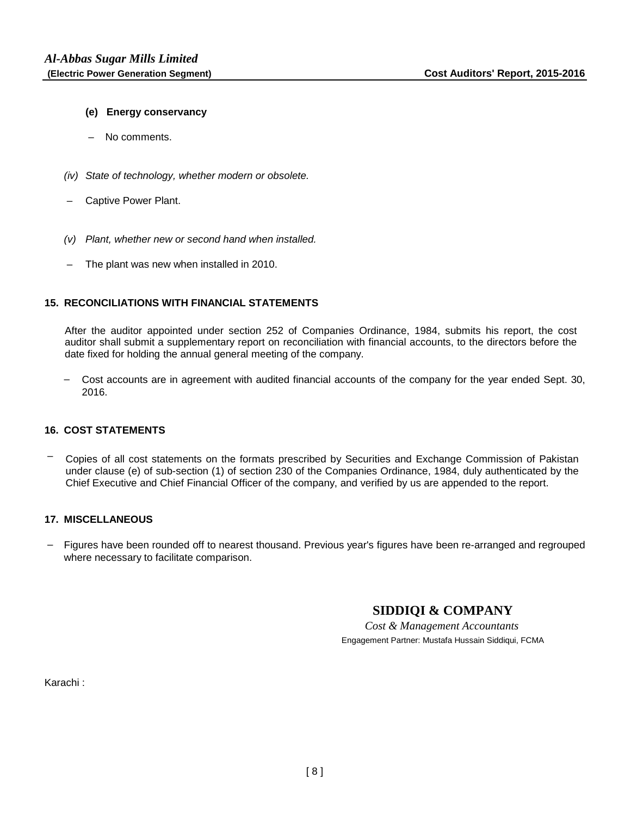#### **(e) Energy conservancy**

- No comments.
- *(iv) State of technology, whether modern or obsolete.*
- Captive Power Plant.
- *(v) Plant, whether new or second hand when installed.*
- The plant was new when installed in 2010.

#### **15. RECONCILIATIONS WITH FINANCIAL STATEMENTS**

After the auditor appointed under section 252 of Companies Ordinance, 1984, submits his report, the cost auditor shall submit a supplementary report on reconciliation with financial accounts, to the directors before the date fixed for holding the annual general meeting of the company.

- Cost accounts are in agreement with audited financial accounts of the company for the year ended Sept. 30, 2016.

#### **16. COST STATEMENTS**

 – Copies of all cost statements on the formats prescribed by Securities and Exchange Commission of Pakistan under clause (e) of sub-section (1) of section 230 of the Companies Ordinance, 1984, duly authenticated by the Chief Executive and Chief Financial Officer of the company, and verified by us are appended to the report.

#### **17. MISCELLANEOUS**

 – Figures have been rounded off to nearest thousand. Previous year's figures have been re-arranged and regrouped where necessary to facilitate comparison.

## **SIDDIQI & COMPANY**

*Cost & Management Accountants* Engagement Partner: Mustafa Hussain Siddiqui, FCMA

Karachi :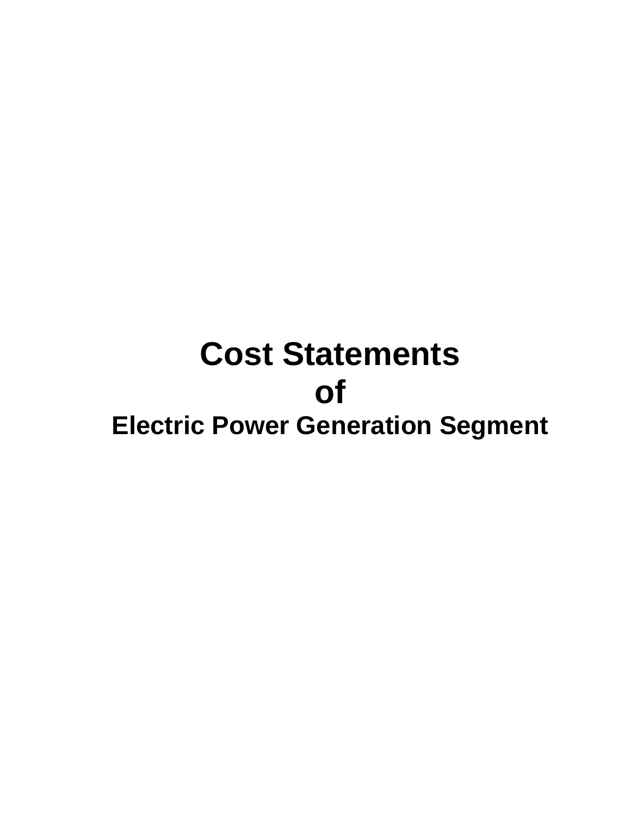# **Cost Statements of Electric Power Generation Segment**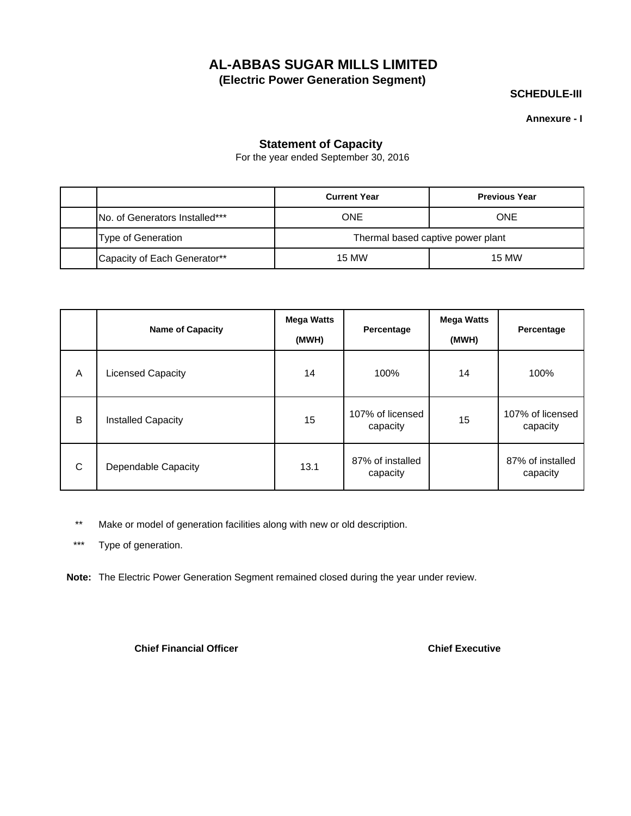**SCHEDULE-III**

**Annexure - I**

## **Statement of Capacity**

For the year ended September 30, 2016

|                                 | <b>Current Year</b>               | <b>Previous Year</b> |  |  |  |
|---------------------------------|-----------------------------------|----------------------|--|--|--|
| INo. of Generators Installed*** | ONE                               | <b>ONE</b>           |  |  |  |
| <b>Type of Generation</b>       | Thermal based captive power plant |                      |  |  |  |
| Capacity of Each Generator**    | <b>15 MW</b>                      | 15 MW                |  |  |  |

|   | <b>Name of Capacity</b>   | <b>Mega Watts</b><br>(MWH) | Percentage                   | <b>Mega Watts</b><br>(MWH) | Percentage                   |
|---|---------------------------|----------------------------|------------------------------|----------------------------|------------------------------|
| A | <b>Licensed Capacity</b>  | 14                         | 100%                         | 14                         | 100%                         |
| B | <b>Installed Capacity</b> | 15                         | 107% of licensed<br>capacity | 15                         | 107% of licensed<br>capacity |
| C | Dependable Capacity       | 13.1                       | 87% of installed<br>capacity |                            | 87% of installed<br>capacity |

\*\* Make or model of generation facilities along with new or old description.

\*\*\* Type of generation.

**Note:** The Electric Power Generation Segment remained closed during the year under review.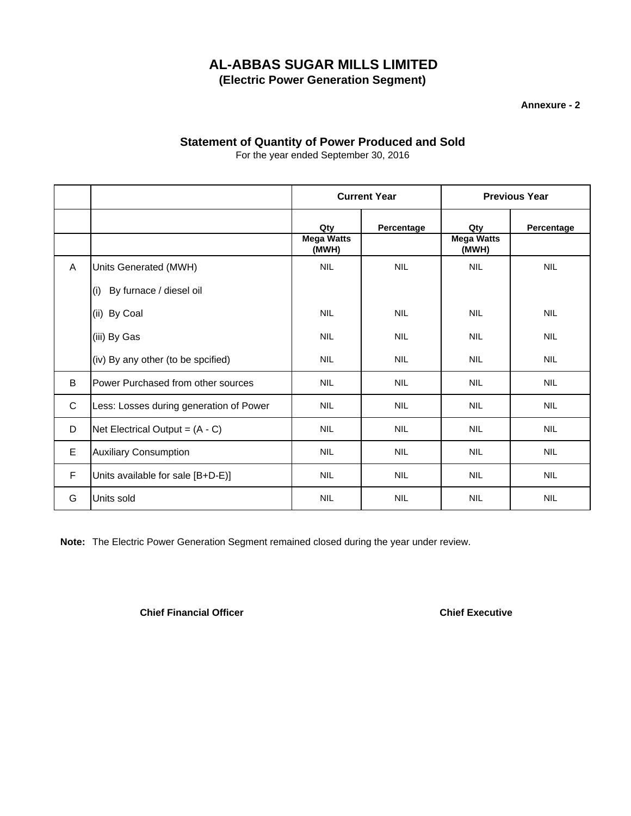**Annexure - 2**

## **Statement of Quantity of Power Produced and Sold**

|              |                                         | <b>Current Year</b>               |            | <b>Previous Year</b>              |            |  |
|--------------|-----------------------------------------|-----------------------------------|------------|-----------------------------------|------------|--|
|              |                                         | Qty<br><b>Mega Watts</b><br>(MWH) | Percentage | Qty<br><b>Mega Watts</b><br>(MWH) | Percentage |  |
| $\mathsf{A}$ | Units Generated (MWH)                   | <b>NIL</b>                        | <b>NIL</b> | <b>NIL</b>                        | <b>NIL</b> |  |
|              | (i) By furnace / diesel oil             |                                   |            |                                   |            |  |
|              | (ii) By Coal                            | <b>NIL</b>                        | <b>NIL</b> | <b>NIL</b>                        | <b>NIL</b> |  |
|              | (iii) By Gas                            | <b>NIL</b>                        | <b>NIL</b> | <b>NIL</b>                        | <b>NIL</b> |  |
|              | (iv) By any other (to be spcified)      | <b>NIL</b>                        | <b>NIL</b> | <b>NIL</b>                        | <b>NIL</b> |  |
| B            | Power Purchased from other sources      | <b>NIL</b>                        | <b>NIL</b> | <b>NIL</b>                        | <b>NIL</b> |  |
| $\mathsf{C}$ | Less: Losses during generation of Power | <b>NIL</b>                        | <b>NIL</b> | <b>NIL</b>                        | <b>NIL</b> |  |
| D            | Net Electrical Output = $(A - C)$       | <b>NIL</b>                        | <b>NIL</b> | <b>NIL</b>                        | <b>NIL</b> |  |
| E            | <b>Auxiliary Consumption</b>            | <b>NIL</b>                        | <b>NIL</b> | <b>NIL</b>                        | <b>NIL</b> |  |
| F            | Units available for sale [B+D-E)]       | <b>NIL</b>                        | <b>NIL</b> | <b>NIL</b>                        | <b>NIL</b> |  |
| G            | Units sold                              | <b>NIL</b>                        | <b>NIL</b> | <b>NIL</b>                        | <b>NIL</b> |  |

For the year ended September 30, 2016

**Note:** The Electric Power Generation Segment remained closed during the year under review.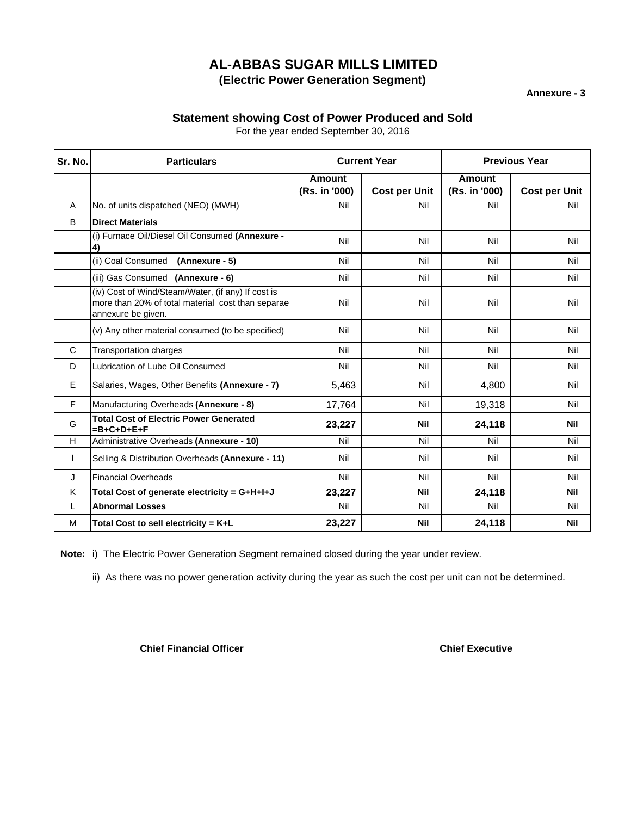**Annexure - 3**

## **Statement showing Cost of Power Produced and Sold**

For the year ended September 30, 2016

| Sr. No.      | <b>Particulars</b>                                                                                                            |                                | <b>Current Year</b>  | <b>Previous Year</b>           |                      |  |
|--------------|-------------------------------------------------------------------------------------------------------------------------------|--------------------------------|----------------------|--------------------------------|----------------------|--|
|              |                                                                                                                               | <b>Amount</b><br>(Rs. in '000) | <b>Cost per Unit</b> | <b>Amount</b><br>(Rs. in '000) | <b>Cost per Unit</b> |  |
| A            | No. of units dispatched (NEO) (MWH)                                                                                           | Nil                            | Nil                  | Nil                            | Nil                  |  |
| B            | <b>Direct Materials</b>                                                                                                       |                                |                      |                                |                      |  |
|              | (i) Furnace Oil/Diesel Oil Consumed (Annexure -<br>4)                                                                         | Nil                            | Nil                  | Nil                            | Nil                  |  |
|              | (ii) Coal Consumed (Annexure - 5)                                                                                             | Nil                            | Nil                  | Nil                            | Nil                  |  |
|              | (iii) Gas Consumed (Annexure - 6)                                                                                             | Nil                            | Nil                  | Nil                            | Nil                  |  |
|              | (iv) Cost of Wind/Steam/Water, (if any) If cost is<br>more than 20% of total material cost than separae<br>annexure be given. | Nil                            | Nil                  | Nil                            | Nil                  |  |
|              | (v) Any other material consumed (to be specified)                                                                             | Nil                            | Nil                  | Nil                            | Nil                  |  |
| $\mathsf{C}$ | Transportation charges                                                                                                        | Nil                            | Nil                  | Nil                            | Nil                  |  |
| D            | Lubrication of Lube Oil Consumed                                                                                              | Nil                            | Nil                  | Nil                            | Nil                  |  |
| E            | Salaries, Wages, Other Benefits (Annexure - 7)                                                                                | 5,463                          | Nil                  | 4,800                          | Nil                  |  |
| F            | Manufacturing Overheads (Annexure - 8)                                                                                        | 17,764                         | Nil                  | 19,318                         | Nil                  |  |
| G            | <b>Total Cost of Electric Power Generated</b><br>=B+C+D+E+F                                                                   | 23,227                         | <b>Nil</b>           | 24,118                         | <b>Nil</b>           |  |
| н            | Administrative Overheads (Annexure - 10)                                                                                      | Nil                            | Nil                  | Nil                            | Nil                  |  |
|              | Selling & Distribution Overheads (Annexure - 11)                                                                              | Nil                            | Nil                  | Nil                            | Nil                  |  |
| J            | <b>Financial Overheads</b>                                                                                                    | Nil                            | Nil                  | Nil                            | Nil                  |  |
| K            | Total Cost of generate electricity = G+H+I+J                                                                                  | 23,227                         | <b>Nil</b>           | 24,118                         | <b>Nil</b>           |  |
| L            | <b>Abnormal Losses</b>                                                                                                        | Nil                            | Nil                  | Nil                            | Nil                  |  |
| M            | Total Cost to sell electricity = $K+L$                                                                                        | 23,227                         | <b>Nil</b>           | 24,118                         | <b>Nil</b>           |  |

**Note:** i) The Electric Power Generation Segment remained closed during the year under review.

ii) As there was no power generation activity during the year as such the cost per unit can not be determined.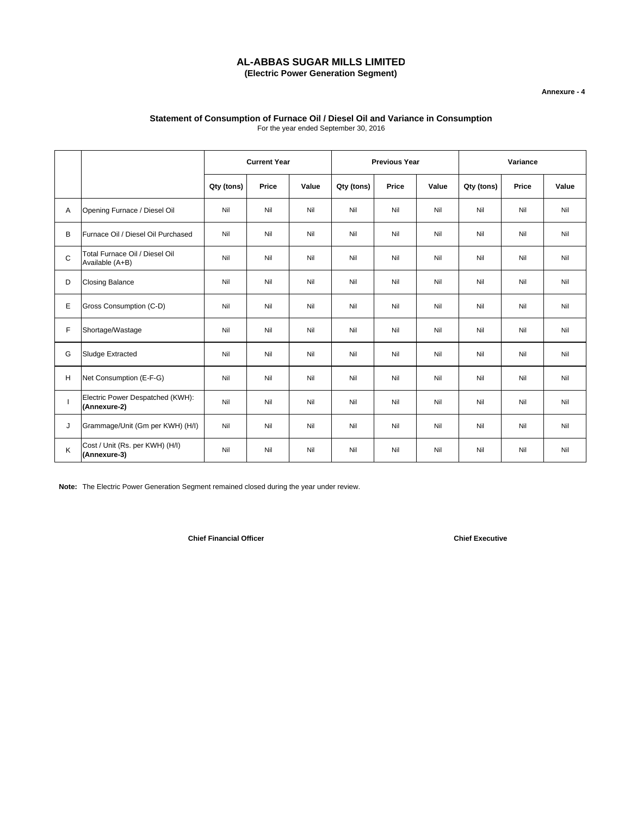#### **Annexure - 4**

#### **Statement of Consumption of Furnace Oil / Diesel Oil and Variance in Consumption** For the year ended September 30, 2016

|              |                                                   | <b>Current Year</b> |       | <b>Previous Year</b> |            |              | Variance |            |       |       |
|--------------|---------------------------------------------------|---------------------|-------|----------------------|------------|--------------|----------|------------|-------|-------|
|              |                                                   | Qty (tons)          | Price | Value                | Qty (tons) | <b>Price</b> | Value    | Qty (tons) | Price | Value |
| Α            | Opening Furnace / Diesel Oil                      | Nil                 | Nil   | Nil                  | Nil        | Nil          | Nil      | Nil        | Nil   | Nil   |
| В            | Furnace Oil / Diesel Oil Purchased                | Nil                 | Nil   | Nil                  | Nil        | Nil          | Nil      | Nil        | Nil   | Nil   |
| $\mathsf{C}$ | Total Furnace Oil / Diesel Oil<br>Available (A+B) | Nil                 | Nil   | Nil                  | Nil        | Nil          | Nil      | Nil        | Nil   | Nil   |
| D            | <b>Closing Balance</b>                            | Nil                 | Nil   | Nil                  | Nil        | Nil          | Nil      | Nil        | Nil   | Nil   |
| Е            | Gross Consumption (C-D)                           | Nil                 | Nil   | Nil                  | Nil        | Nil          | Nil      | Nil        | Nil   | Nil   |
| F            | Shortage/Wastage                                  | Nil                 | Nil   | Nil                  | Nil        | Nil          | Nil      | Nil        | Nil   | Nil   |
| G            | <b>Sludge Extracted</b>                           | Nil                 | Nil   | Nil                  | Nil        | Nil          | Nil      | Nil        | Nil   | Nil   |
| H            | Net Consumption (E-F-G)                           | Nil                 | Nil   | Nil                  | Nil        | Nil          | Nil      | Nil        | Nil   | Nil   |
|              | Electric Power Despatched (KWH):<br>(Annexure-2)  | Nil                 | Nil   | Nil                  | Nil        | Nil          | Nil      | Nil        | Nil   | Nil   |
| J            | Grammage/Unit (Gm per KWH) (H/I)                  | Nil                 | Nil   | Nil                  | Nil        | Nil          | Nil      | Nil        | Nil   | Nil   |
| K            | Cost / Unit (Rs. per KWH) (H/I)<br>(Annexure-3)   | Nil                 | Nil   | Nil                  | Nil        | Nil          | Nil      | Nil        | Nil   | Nil   |

**Note:** The Electric Power Generation Segment remained closed during the year under review.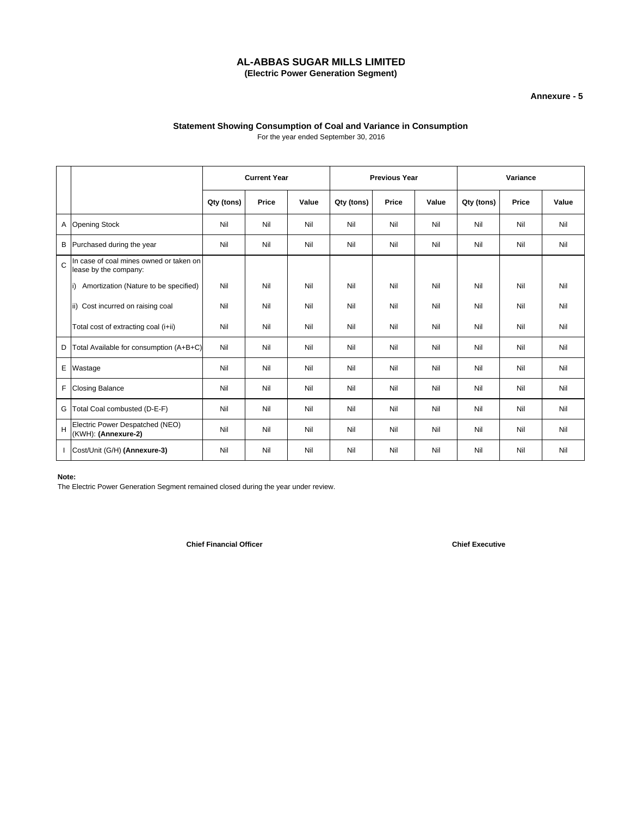#### **Annexure - 5**

## **Statement Showing Consumption of Coal and Variance in Consumption**

For the year ended September 30, 2016

|   |                                                                  | <b>Current Year</b> |       | <b>Previous Year</b> |            |       | Variance |            |       |       |
|---|------------------------------------------------------------------|---------------------|-------|----------------------|------------|-------|----------|------------|-------|-------|
|   |                                                                  | Qty (tons)          | Price | Value                | Qty (tons) | Price | Value    | Qty (tons) | Price | Value |
| Α | <b>Opening Stock</b>                                             | Nil                 | Nil   | Nil                  | Nil        | Nil   | Nil      | Nil        | Nil   | Nil   |
| В | Purchased during the year                                        | Nil                 | Nil   | Nil                  | Nil        | Nil   | Nil      | Nil        | Nil   | Nil   |
| Ć | In case of coal mines owned or taken on<br>lease by the company: |                     |       |                      |            |       |          |            |       |       |
|   | Amortization (Nature to be specified)<br>li)                     | Nil                 | Nil   | Nil                  | Nil        | Nil   | Nil      | Nil        | Nil   | Nil   |
|   | ii) Cost incurred on raising coal                                | Nil                 | Nil   | Nil                  | Nil        | Nil   | Nil      | Nil        | Nil   | Nil   |
|   | Total cost of extracting coal (i+ii)                             | Nil                 | Nil   | Nil                  | Nil        | Nil   | Nil      | Nil        | Nil   | Nil   |
| D | Total Available for consumption (A+B+C)                          | Nil                 | Nil   | Nil                  | Nil        | Nil   | Nil      | Nil        | Nil   | Nil   |
| E | Wastage                                                          | Nil                 | Nil   | Nil                  | Nil        | Nil   | Nil      | Nil        | Nil   | Nil   |
| F | <b>Closing Balance</b>                                           | Nil                 | Nil   | Nil                  | Nil        | Nil   | Nil      | Nil        | Nil   | Nil   |
| G | Total Coal combusted (D-E-F)                                     | Nil                 | Nil   | Nil                  | Nil        | Nil   | Nil      | Nil        | Nil   | Nil   |
| H | Electric Power Despatched (NEO)<br>(KWH): (Annexure-2)           | Nil                 | Nil   | Nil                  | Nil        | Nil   | Nil      | Nil        | Nil   | Nil   |
|   | Cost/Unit (G/H) (Annexure-3)                                     | Nil                 | Nil   | Nil                  | Nil        | Nil   | Nil      | Nil        | Nil   | Nil   |

#### **Note:**

The Electric Power Generation Segment remained closed during the year under review.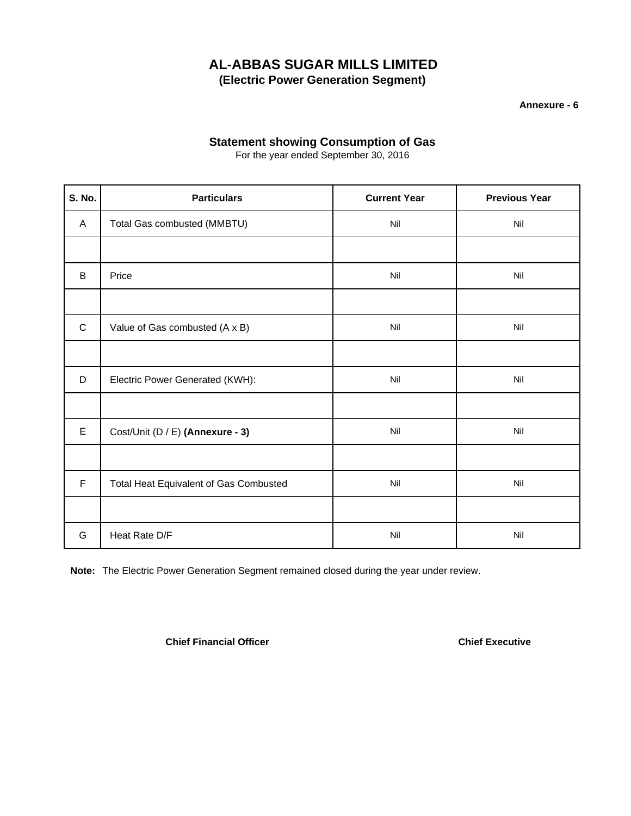**Annexure - 6**

## **Statement showing Consumption of Gas**

For the year ended September 30, 2016

| <b>S. No.</b> | <b>Particulars</b>                     | <b>Current Year</b> | <b>Previous Year</b> |
|---------------|----------------------------------------|---------------------|----------------------|
| A             | Total Gas combusted (MMBTU)            | Nil                 | Nil                  |
|               |                                        |                     |                      |
| B             | Price                                  | Nil                 | Nil                  |
|               |                                        |                     |                      |
| $\mathsf{C}$  | Value of Gas combusted (A x B)         | Nil                 | Nil                  |
|               |                                        |                     |                      |
| D             | Electric Power Generated (KWH):        | Nil                 | Nil                  |
|               |                                        |                     |                      |
| E             | Cost/Unit (D / E) (Annexure - 3)       | Nil                 | Nil                  |
|               |                                        |                     |                      |
| F             | Total Heat Equivalent of Gas Combusted | Nil                 | Nil                  |
|               |                                        |                     |                      |
| G             | Heat Rate D/F                          | Nil                 | Nil                  |

**Note:** The Electric Power Generation Segment remained closed during the year under review.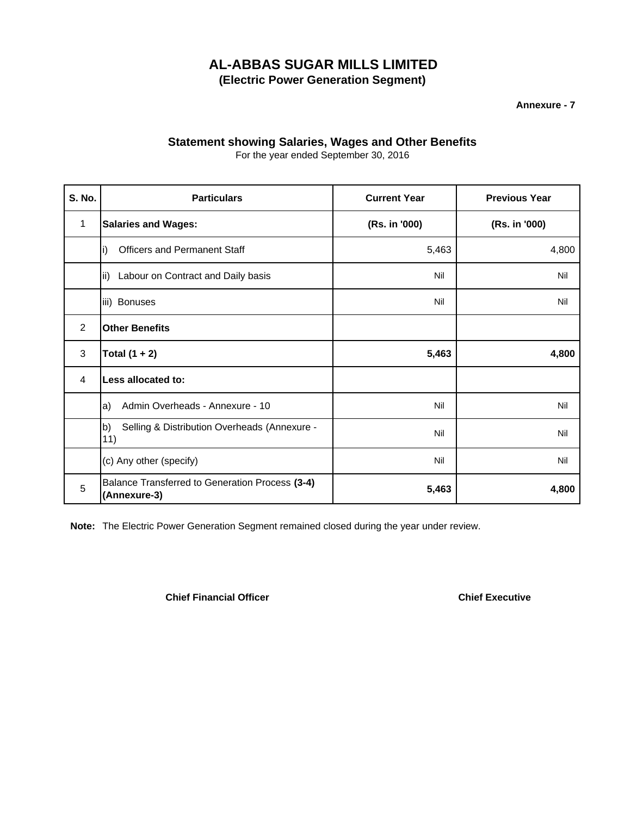**Annexure - 7**

## **Statement showing Salaries, Wages and Other Benefits**

For the year ended September 30, 2016

| <b>S. No.</b> | <b>Particulars</b>                                              | <b>Current Year</b> | <b>Previous Year</b> |  |
|---------------|-----------------------------------------------------------------|---------------------|----------------------|--|
| 1             | <b>Salaries and Wages:</b>                                      | (Rs. in '000)       | (Rs. in '000)        |  |
|               | <b>Officers and Permanent Staff</b><br>i)                       | 5,463               | 4,800                |  |
|               | Labour on Contract and Daily basis<br>lii)                      | Nil                 | Nil                  |  |
|               | iii) Bonuses                                                    | Nil                 | Nil                  |  |
| 2             | <b>Other Benefits</b>                                           |                     |                      |  |
| 3             | Total $(1 + 2)$                                                 | 5,463               | 4,800                |  |
| 4             | Less allocated to:                                              |                     |                      |  |
|               | Admin Overheads - Annexure - 10<br>a)                           | Nil                 | Nil                  |  |
|               | Selling & Distribution Overheads (Annexure -<br>b)<br>11)       | Nil                 | Nil                  |  |
|               | (c) Any other (specify)                                         | Nil                 | Nil                  |  |
| 5             | Balance Transferred to Generation Process (3-4)<br>(Annexure-3) | 5,463               | 4,800                |  |

**Note:** The Electric Power Generation Segment remained closed during the year under review.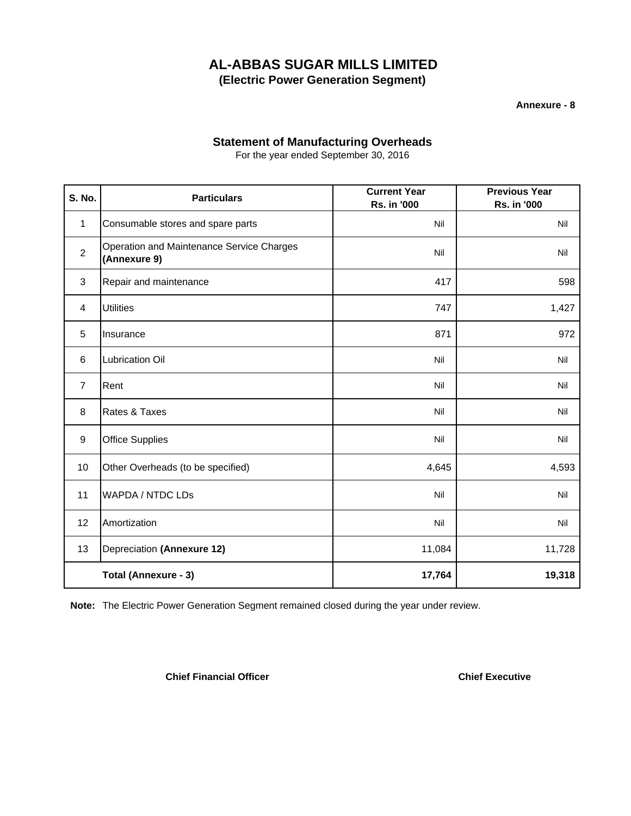**Annexure - 8**

## **Statement of Manufacturing Overheads**

For the year ended September 30, 2016

| <b>S. No.</b>  | <b>Particulars</b>                                        | <b>Current Year</b><br>Rs. in '000 | <b>Previous Year</b><br>Rs. in '000 |
|----------------|-----------------------------------------------------------|------------------------------------|-------------------------------------|
| 1              | Consumable stores and spare parts                         | Nil                                | Nil                                 |
| $\overline{2}$ | Operation and Maintenance Service Charges<br>(Annexure 9) | Nil                                | Nil                                 |
| $\mathbf{3}$   | Repair and maintenance                                    | 417                                | 598                                 |
| 4              | <b>Utilities</b>                                          | 747                                | 1,427                               |
| 5              | Insurance                                                 | 871                                | 972                                 |
| 6              | Lubrication Oil                                           | Nil                                | Nil                                 |
| $\overline{7}$ | Rent                                                      | Nil                                | Nil                                 |
| 8              | Rates & Taxes                                             | Nil                                | Nil                                 |
| 9              | <b>Office Supplies</b>                                    | Nil                                | Nil                                 |
| 10             | Other Overheads (to be specified)                         | 4,645                              | 4,593                               |
| 11             | <b>WAPDA / NTDC LDs</b>                                   | Nil                                | Nil                                 |
| 12             | Amortization                                              | Nil                                | Nil                                 |
| 13             | Depreciation (Annexure 12)                                | 11,084                             | 11,728                              |
|                | Total (Annexure - 3)                                      | 17,764                             | 19,318                              |

**Note:** The Electric Power Generation Segment remained closed during the year under review.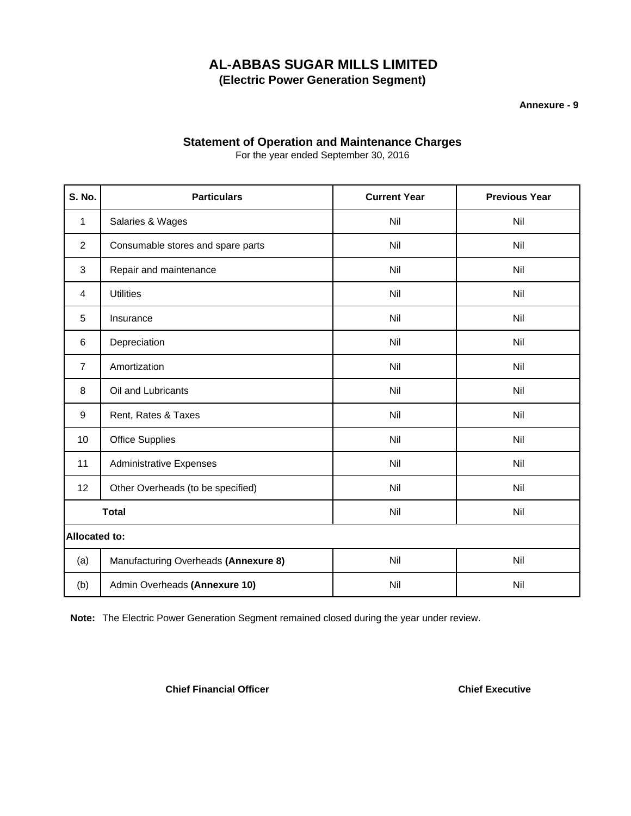**Annexure - 9**

## **Statement of Operation and Maintenance Charges**

For the year ended September 30, 2016

| <b>S. No.</b>        | <b>Particulars</b>                   | <b>Current Year</b> | <b>Previous Year</b> |
|----------------------|--------------------------------------|---------------------|----------------------|
| 1                    | Salaries & Wages                     | Nil                 | Nil                  |
| $\overline{2}$       | Consumable stores and spare parts    | Nil                 | Nil                  |
| 3                    | Repair and maintenance               | Nil                 | Nil                  |
| 4                    | <b>Utilities</b>                     | Nil                 | Nil                  |
| 5                    | Insurance                            | Nil                 | Nil                  |
| 6                    | Depreciation                         | Nil                 | Nil                  |
| $\overline{7}$       | Amortization                         | Nil                 | Nil                  |
| 8                    | Oil and Lubricants                   | Nil                 | Nil                  |
| 9                    | Rent, Rates & Taxes                  | Nil                 | Nil                  |
| 10                   | <b>Office Supplies</b>               | Nil                 | Nil                  |
| 11                   | <b>Administrative Expenses</b>       | Nil                 | Nil                  |
| 12                   | Other Overheads (to be specified)    | Nil                 | Nil                  |
| <b>Total</b>         |                                      | Nil                 | Nil                  |
| <b>Allocated to:</b> |                                      |                     |                      |
| (a)                  | Manufacturing Overheads (Annexure 8) | Nil                 | Nil                  |
| (b)                  | Admin Overheads (Annexure 10)        | Nil                 | Nil                  |

**Note:** The Electric Power Generation Segment remained closed during the year under review.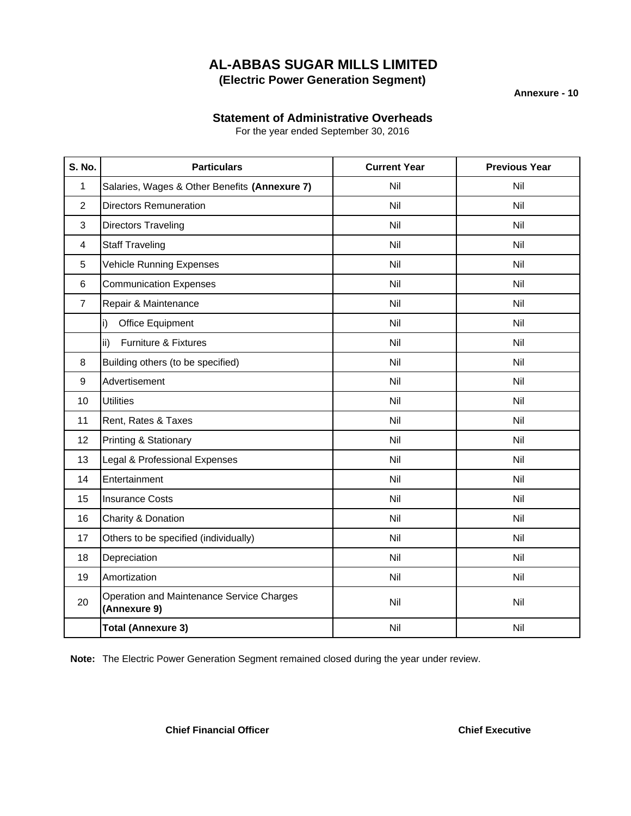**Annexure - 10**

## **Statement of Administrative Overheads**

For the year ended September 30, 2016

| <b>S. No.</b>  | <b>Particulars</b>                                        | <b>Current Year</b> | <b>Previous Year</b> |
|----------------|-----------------------------------------------------------|---------------------|----------------------|
| 1              | Salaries, Wages & Other Benefits (Annexure 7)             | Nil                 | Nil                  |
| $\overline{2}$ | <b>Directors Remuneration</b>                             | Nil                 | Nil                  |
| 3              | <b>Directors Traveling</b>                                | Nil                 | Nil                  |
| 4              | <b>Staff Traveling</b>                                    | Nil                 | Nil                  |
| 5              | <b>Vehicle Running Expenses</b>                           | Nil                 | Nil                  |
| 6              | <b>Communication Expenses</b>                             | Nil                 | Nil                  |
| $\overline{7}$ | Repair & Maintenance                                      | Nil                 | Nil                  |
|                | Office Equipment<br>i)                                    | Nil                 | Nil                  |
|                | <b>Furniture &amp; Fixtures</b><br>ii)                    | Nil                 | Nil                  |
| 8              | Building others (to be specified)                         | Nil                 | Nil                  |
| 9              | Advertisement                                             | Nil                 | Nil                  |
| 10             | <b>Utilities</b>                                          | Nil                 | Nil                  |
| 11             | Rent, Rates & Taxes                                       | Nil                 | Nil                  |
| 12             | <b>Printing &amp; Stationary</b>                          | Nil                 | Nil                  |
| 13             | Legal & Professional Expenses                             | Nil                 | Nil                  |
| 14             | Entertainment                                             | Nil                 | Nil                  |
| 15             | <b>Insurance Costs</b>                                    | Nil                 | Nil                  |
| 16             | Charity & Donation                                        | Nil                 | Nil                  |
| 17             | Others to be specified (individually)                     | Nil                 | Nil                  |
| 18             | Depreciation                                              | Nil                 | Nil                  |
| 19             | Amortization                                              | Nil                 | Nil                  |
| 20             | Operation and Maintenance Service Charges<br>(Annexure 9) | Nil                 | Nil                  |
|                | <b>Total (Annexure 3)</b>                                 | Nil                 | Nil                  |

**Note:** The Electric Power Generation Segment remained closed during the year under review.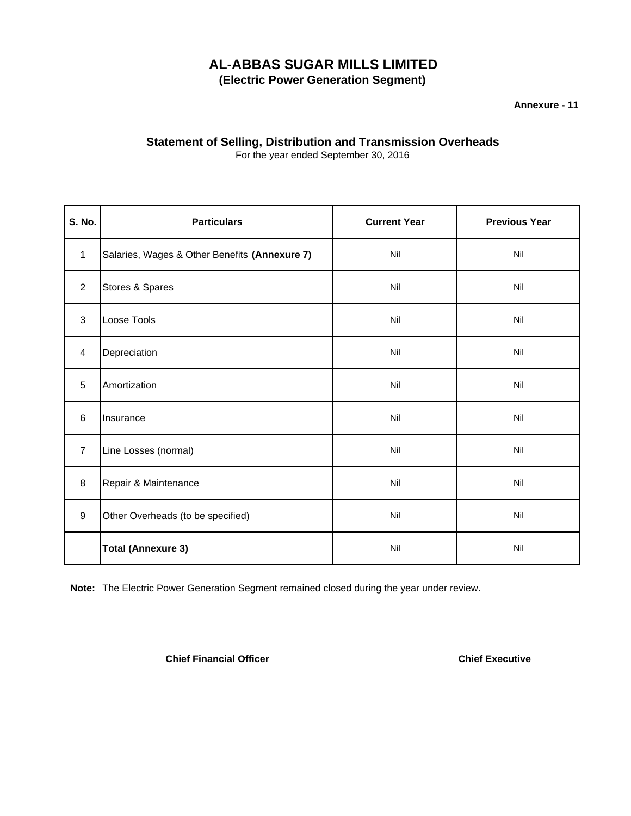**Annexure - 11**

## **Statement of Selling, Distribution and Transmission Overheads**

For the year ended September 30, 2016

| S. No.         | <b>Particulars</b>                            | <b>Current Year</b> | <b>Previous Year</b> |
|----------------|-----------------------------------------------|---------------------|----------------------|
| $\mathbf{1}$   | Salaries, Wages & Other Benefits (Annexure 7) | Nil                 | Nil                  |
| $\overline{2}$ | Stores & Spares                               | Nil                 | Nil                  |
| 3              | Loose Tools                                   | Nil                 | Nil                  |
| 4              | Depreciation                                  | Nil                 | Nil                  |
| 5              | Amortization                                  | Nil                 | Nil                  |
| 6              | Insurance                                     | Nil                 | Nil                  |
| $\overline{7}$ | Line Losses (normal)                          | Nil                 | Nil                  |
| 8              | Repair & Maintenance                          | Nil                 | Nil                  |
| 9              | Other Overheads (to be specified)             | Nil                 | Nil                  |
|                | <b>Total (Annexure 3)</b>                     | Nil                 | Nil                  |

**Note:** The Electric Power Generation Segment remained closed during the year under review.